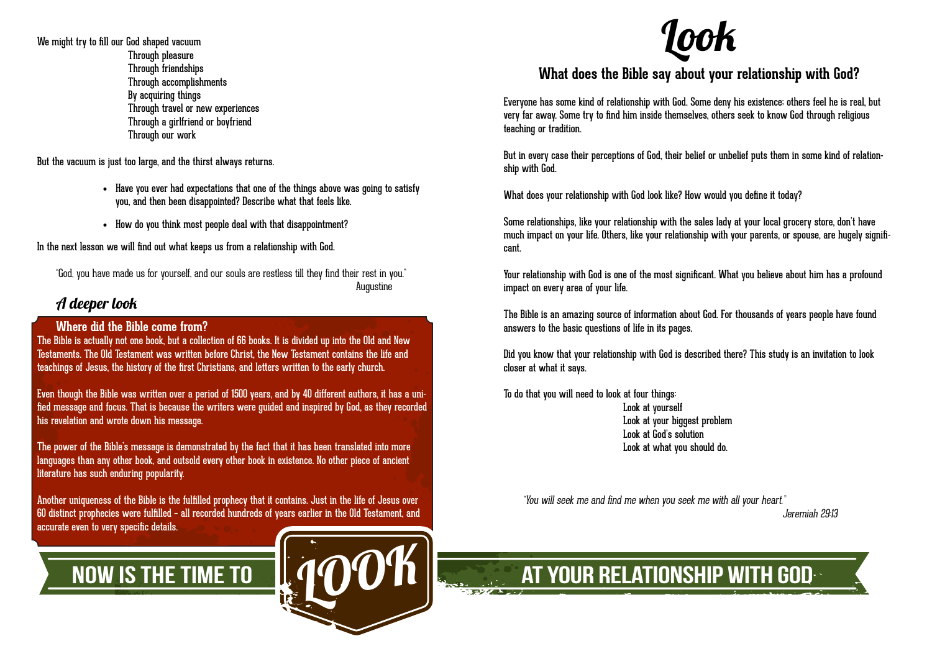We might try to fill our God shaped vacuum Through pleasure Through friendships Through accomplishments By acquiring things Through travel or new experiences Through a girlfriend or boyfriend Through our work

But the vacuum is just too large, and the thirst always returns.

- Have you ever had expectations that one of the things above was going to satisfy you, and then been disappointed? Describe what that feels like.
- How do you think most people deal with that disappointment?

In the next lesson we will find out what keeps us from a relationship with God.

"God, you have made us for yourself, and our souls are restless till they find their rest in you." Augustine

### A deeper look

### **Where did the Bible come from?**

The Bible is actually not one book, but a collection of 66 books. It is divided up into the Old and New Testaments. The Old Testament was written before Christ, the New Testament contains the life and teachings of Jesus, the history of the first Christians, and letters written to the early church.

Even though the Bible was written over a period of 1500 years, and by 40 different authors, it has a unified message and focus. That is because the writers were guided and inspired by God, as they recorded his revelation and wrote down his message.

The power of the Bible's message is demonstrated by the fact that it has been translated into more languages than any other book, and outsold every other book in existence. No other piece of ancient literature has such enduring popularity.

Another uniqueness of the Bible is the fulfilled prophecy that it contains. Just in the life of Jesus over 60 distinct prophecies were fulfilled – all recorded hundreds of years earlier in the Old Testament, and accurate even to very specific details.

look

# Look

### **What does the Bible say about your relationship with God?**

Everyone has some kind of relationship with God. Some deny his existence; others feel he is real, but very far away. Some try to find him inside themselves, others seek to know God through religious teaching or tradition.

But in every case their perceptions of God, their belief or unbelief puts them in some kind of relationship with God.

What does your relationship with God look like? How would you define it today?

Some relationships, like your relationship with the sales lady at your local grocery store, don't have much impact on your life. Others, like your relationship with your parents, or spouse, are hugely significant.

Your relationship with God is one of the most significant. What you believe about him has a profound impact on every area of your life.

The Bible is an amazing source of information about God. For thousands of years people have found answers to the basic questions of life in its pages.

Did you know that your relationship with God is described there? This study is an invitation to look closer at what it says.

To do that you will need to look at four things:

 Look at yourself Look at your biggest problem Look at God's solution Look at what you should do.

"You will seek me and find me when you seek me with all your heart."

Jeremiah 29:13

NOW IS THE TIME TO  $\left\| A \bigcirc C \bigcirc \mathsf{h} \right\|_{\mathbb{R}}$  at your relationship with gode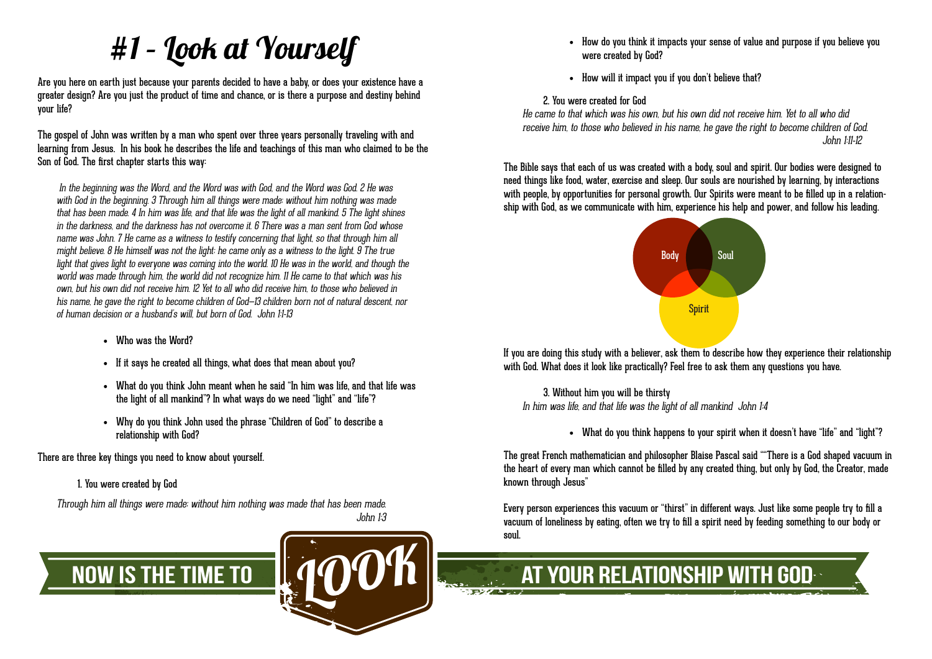# #1 – Look at Yourself

Are you here on earth just because your parents decided to have a baby, or does your existence have a greater design? Are you just the product of time and chance, or is there a purpose and destiny behind your life?

The gospel of John was written by a man who spent over three years personally traveling with and learning from Jesus. In his book he describes the life and teachings of this man who claimed to be the Son of God. The first chapter starts this way:

 In the beginning was the Word, and the Word was with God, and the Word was God. 2 He was with God in the beginning. 3 Through him all things were made: without him nothing was made that has been made. 4 In him was life, and that life was the light of all mankind. 5 The light shines in the darkness, and the darkness has not overcome it. 6 There was a man sent from God whose name was John. 7 He came as a witness to testify concerning that light, so that through him all might believe. 8 He himself was not the light; he came only as a witness to the light. 9 The true light that gives light to everyone was coming into the world. 10 He was in the world, and though the world was made through him, the world did not recognize him. 11 He came to that which was his own, but his own did not receive him. 12 Yet to all who did receive him, to those who believed in his name, he gave the right to become children of God—13 children born not of natural descent, nor of human decision or a husband's will, but born of God. John 1:1-13

- Who was the Word?
- If it says he created all things, what does that mean about you?
- What do you think John meant when he said "In him was life, and that life was the light of all mankind"? In what ways do we need "light" and "life"?
- • Why do you think John used the phrase "Children of God" to describe a relationship with God?

There are three key things you need to know about yourself.

### 1. You were created by God

Through him all things were made; without him nothing was made that has been made. John 1:3



- How do you think it impacts your sense of value and purpose if you believe you were created by God?
- • How will it impact you if you don't believe that?

2. You were created for God

He came to that which was his own, but his own did not receive him. Yet to all who did receive him, to those who believed in his name, he gave the right to become children of God. John 1:11-12

The Bible says that each of us was created with a body, soul and spirit. Our bodies were designed to need things like food, water, exercise and sleep. Our souls are nourished by learning, by interactions with people, by opportunities for personal growth. Our Spirits were meant to be filled up in a relationship with God, as we communicate with him, experience his help and power, and follow his leading.



If you are doing this study with a believer, ask them to describe how they experience their relationship with God. What does it look like practically? Feel free to ask them any questions you have.

3. Without him you will be thirsty In him was life, and that life was the light of all mankind John 1:4

• What do you think happens to your spirit when it doesn't have "life" and "light"?

The great French mathematician and philosopher Blaise Pascal said ""There is a God shaped vacuum in the heart of every man which cannot be filled by any created thing, but only by God, the Creator, made known through Jesus"

Every person experiences this vacuum or "thirst" in different ways. Just like some people try to fill a vacuum of loneliness by eating, often we try to fill a spirit need by feeding something to our body or soul.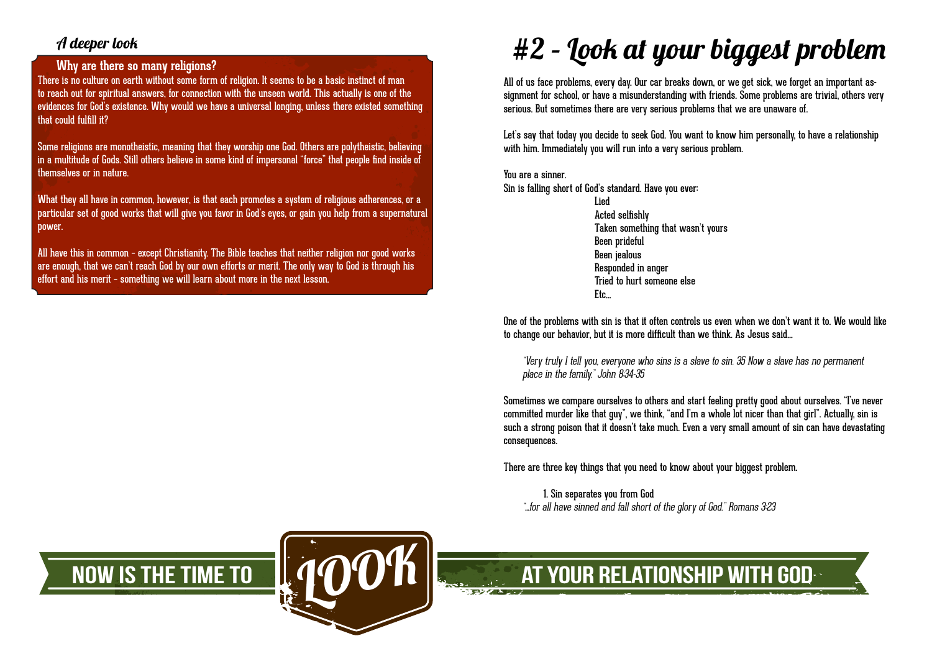### A deeper look

### **Why are there so many religions?**

There is no culture on earth without some form of religion. It seems to be a basic instinct of man to reach out for spiritual answers, for connection with the unseen world. This actually is one of the evidences for God's existence. Why would we have a universal longing, unless there existed something that could fulfill it?

Some religions are monotheistic, meaning that they worship one God. Others are polytheistic, believing in a multitude of Gods. Still others believe in some kind of impersonal "force" that people find inside of themselves or in nature.

What they all have in common, however, is that each promotes a system of religious adherences, or a particular set of good works that will give you favor in God's eyes, or gain you help from a supernatural power.

All have this in common – except Christianity. The Bible teaches that neither religion nor good works are enough, that we can't reach God by our own efforts or merit. The only way to God is through his effort and his merit – something we will learn about more in the next lesson.

## #2 – Look at your biggest problem

All of us face problems, every day. Our car breaks down, or we get sick, we forget an important assignment for school, or have a misunderstanding with friends. Some problems are trivial, others very serious. But sometimes there are very serious problems that we are unaware of.

Let's say that today you decide to seek God. You want to know him personally, to have a relationship with him. Immediately you will run into a very serious problem.

You are a sinner. Sin is falling short of God's standard. Have you ever:

Etc…

Lied Acted selfishly Taken something that wasn't yours Been prideful Been jealous Responded in anger Tried to hurt someone else

One of the problems with sin is that it often controls us even when we don't want it to. We would like to change our behavior, but it is more difficult than we think. As Jesus said…

"Very truly I tell you, everyone who sins is a slave to sin. 35 Now a slave has no permanent place in the family." John 8:34-35

Sometimes we compare ourselves to others and start feeling pretty good about ourselves. "I've never committed murder like that guy", we think, "and I'm a whole lot nicer than that girl". Actually, sin is such a strong poison that it doesn't take much. Even a very small amount of sin can have devastating consequences.

There are three key things that you need to know about your biggest problem.

1. Sin separates you from God "…for all have sinned and fall short of the glory of God." Romans 3:23



# NOW IS THE TIME TO  $\|A \mathbf{O}\mathbf{O}^c\mathbf{h}\|$  at your relationship with god look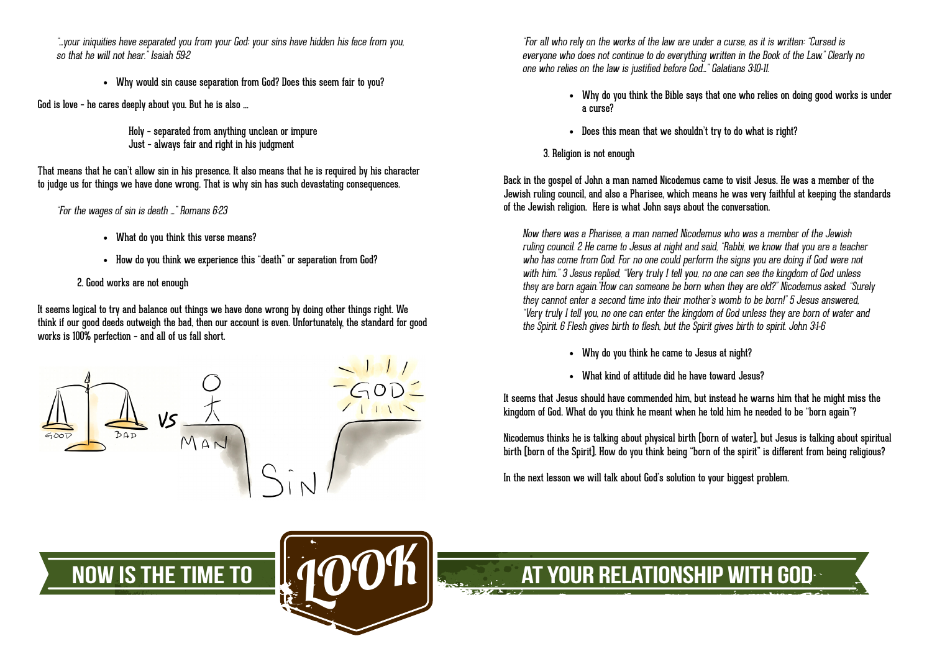"…your iniquities have separated you from your God; your sins have hidden his face from you, so that he will not hear." Isaiah 59.2

• Why would sin cause separation from God? Does this seem fair to you?

God is love – he cares deeply about you. But he is also …

Holy – separated from anything unclean or impure Just – always fair and right in his judgment

That means that he can't allow sin in his presence. It also means that he is required by his character to judge us for things we have done wrong. That is why sin has such devastating consequences.

"For the wages of sin is death …" Romans 6:23

- • What do you think this verse means?
- How do you think we experience this "death" or separation from God?

2. Good works are not enough

It seems logical to try and balance out things we have done wrong by doing other things right. We think if our good deeds outweigh the bad, then our account is even. Unfortunately, the standard for good works is 100% perfection – and all of us fall short.





"For all who rely on the works of the law are under a curse, as it is written: "Cursed is everyone who does not continue to do everything written in the Book of the Law." Clearly no one who relies on the law is justified before God…" Galatians 3:10-11.

- Why do you think the Bible says that one who relies on doing good works is under a curse?
- Does this mean that we shouldn't try to do what is right?
- 3. Religion is not enough

Back in the gospel of John a man named Nicodemus came to visit Jesus. He was a member of the Jewish ruling council, and also a Pharisee, which means he was very faithful at keeping the standards of the Jewish religion. Here is what John says about the conversation.

Now there was a Pharisee, a man named Nicodemus who was a member of the Jewish ruling council. 2 He came to Jesus at night and said, "Rabbi, we know that you are a teacher who has come from God. For no one could perform the signs you are doing if God were not with him." 3 Jesus replied, "Very truly I tell you, no one can see the kingdom of God unless they are born again."How can someone be born when they are old?" Nicodemus asked. "Surely they cannot enter a second time into their mother's womb to be born!" 5 Jesus answered, "Very truly I tell you, no one can enter the kingdom of God unless they are born of water and the Spirit. 6 Flesh gives birth to flesh, but the Spirit gives birth to spirit. John 3:1-6

- • Why do you think he came to Jesus at night?
- What kind of attitude did he have toward Jesus?

It seems that Jesus should have commended him, but instead he warns him that he might miss the kingdom of God. What do you think he meant when he told him he needed to be "born again"?

Nicodemus thinks he is talking about physical birth (born of water), but Jesus is talking about spiritual birth (born of the Spirit). How do you think being "born of the spirit" is different from being religious?

In the next lesson we will talk about God's solution to your biggest problem.



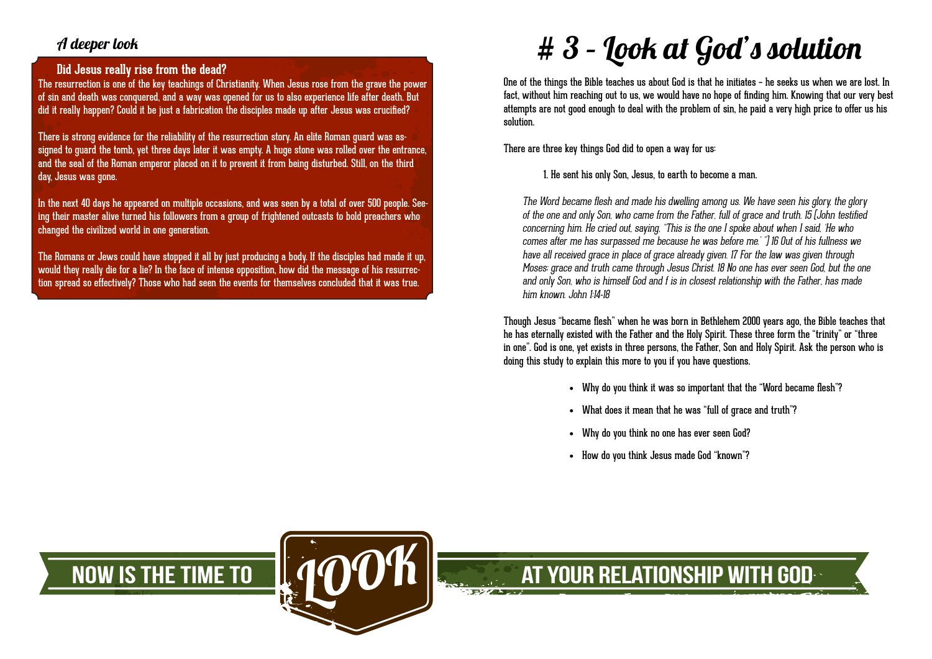### A deeper look

### **Did Jesus really rise from the dead?**

The resurrection is one of the key teachings of Christianity. When Jesus rose from the grave the power of sin and death was conquered, and a way was opened for us to also experience life after death. But did it really happen? Could it be just a fabrication the disciples made up after Jesus was crucified?

There is strong evidence for the reliability of the resurrection story. An elite Roman guard was assigned to guard the tomb, yet three days later it was empty. A huge stone was rolled over the entrance, and the seal of the Roman emperor placed on it to prevent it from being disturbed. Still, on the third day, Jesus was gone.

In the next 40 days he appeared on multiple occasions, and was seen by a total of over 500 people. Seeing their master alive turned his followers from a group of frightened outcasts to bold preachers who changed the civilized world in one generation.

The Romans or Jews could have stopped it all by just producing a body. If the disciples had made it up, would they really die for a lie? In the face of intense opposition, how did the message of his resurrection spread so effectively? Those who had seen the events for themselves concluded that it was true.

# $# 3$  – Look at God's solution

One of the things the Bible teaches us about God is that he initiates – he seeks us when we are lost. In fact, without him reaching out to us, we would have no hope of finding him. Knowing that our very best attempts are not good enough to deal with the problem of sin, he paid a very high price to offer us his solution.

There are three key things God did to open a way for us:

1. He sent his only Son, Jesus, to earth to become a man.

The Word became flesh and made his dwelling among us. We have seen his glory, the glory of the one and only Son, who came from the Father, full of grace and truth. 15 (John testified concerning him. He cried out, saying, "This is the one I spoke about when I said, 'He who comes after me has surpassed me because he was before me.' ") 16 Out of his fullness we have all received grace in place of grace already given. 17 For the law was given through Moses; grace and truth came through Jesus Christ. 18 No one has ever seen God, but the one and only Son, who is himself God and f is in closest relationship with the Father, has made him known. John 1:14-18

Though Jesus "became flesh" when he was born in Bethlehem 2000 years ago, the Bible teaches that he has eternally existed with the Father and the Holy Spirit. These three form the "trinity" or "three in one". God is one, yet exists in three persons, the Father, Son and Holy Spirit. Ask the person who is doing this study to explain this more to you if you have questions.

- Why do you think it was so important that the "Word became flesh"?
- • What does it mean that he was "full of grace and truth"?
- • Why do you think no one has ever seen God?
- • How do you think Jesus made God "known"?

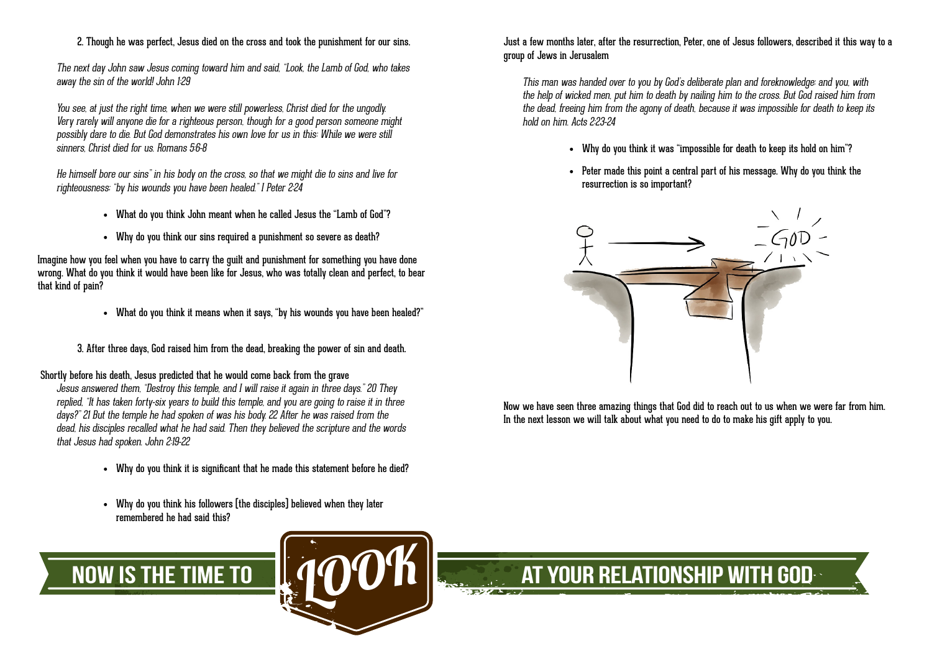### 2. Though he was perfect, Jesus died on the cross and took the punishment for our sins.

The next day John saw Jesus coming toward him and said, "Look, the Lamb of God, who takes away the sin of the world! John 1:29

You see, at just the right time, when we were still powerless, Christ died for the ungodly. Very rarely will anyone die for a righteous person, though for a good person someone might possibly dare to die. But God demonstrates his own love for us in this: While we were still sinners, Christ died for us. Romans 5:6-8

He himself bore our sins" in his body on the cross, so that we might die to sins and live for righteousness; "by his wounds you have been healed." I Peter 2:24

- What do you think John meant when he called Jesus the "Lamb of God"?
- Why do you think our sins required a punishment so severe as death?

Imagine how you feel when you have to carry the guilt and punishment for something you have done wrong. What do you think it would have been like for Jesus, who was totally clean and perfect, to bear that kind of pain?

• What do you think it means when it says, "by his wounds you have been healed?"

3. After three days, God raised him from the dead, breaking the power of sin and death.

Shortly before his death, Jesus predicted that he would come back from the grave

Jesus answered them, "Destroy this temple, and I will raise it again in three days." 20 They replied, "It has taken forty-six years to build this temple, and you are going to raise it in three days?" 21 But the temple he had spoken of was his body. 22 After he was raised from the dead, his disciples recalled what he had said. Then they believed the scripture and the words that Jesus had spoken. John 2:19-22

- Why do you think it is significant that he made this statement before he died?
- Why do you think his followers [the disciples] believed when they later remembered he had said this?



Just a few months later, after the resurrection, Peter, one of Jesus followers, described it this way to a group of Jews in Jerusalem

This man was handed over to you by God's deliberate plan and foreknowledge; and you, with the help of wicked men, put him to death by nailing him to the cross. But God raised him from the dead, freeing him from the agony of death, because it was impossible for death to keep its hold on him. Acts 2:23-24

- Why do you think it was "impossible for death to keep its hold on him"?
- • Peter made this point a central part of his message. Why do you think the resurrection is so important?



Now we have seen three amazing things that God did to reach out to us when we were far from him. In the next lesson we will talk about what you need to do to make his gift apply to you.

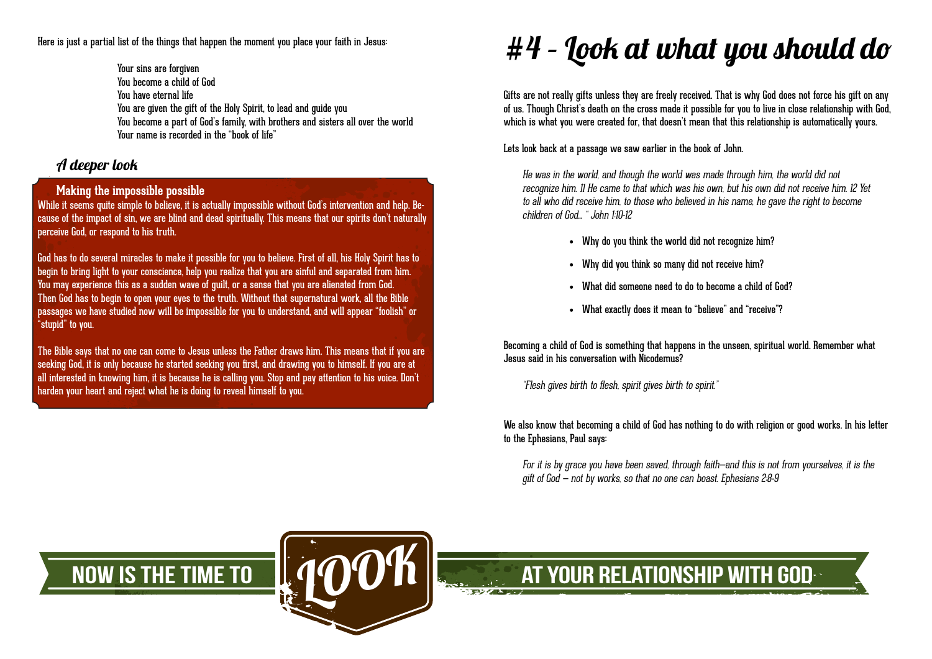Here is just a partial list of the things that happen the moment you place your faith in Jesus:

Your sins are forgiven You become a child of God You have eternal life You are given the gift of the Holy Spirit, to lead and guide you You become a part of God's family, with brothers and sisters all over the world Your name is recorded in the "book of life"

## A deeper look

### **Making the impossible possible**

While it seems quite simple to believe, it is actually impossible without God's intervention and help. Because of the impact of sin, we are blind and dead spiritually. This means that our spirits don't naturally perceive God, or respond to his truth.

God has to do several miracles to make it possible for you to believe. First of all, his Holy Spirit has to begin to bring light to your conscience, help you realize that you are sinful and separated from him. You may experience this as a sudden wave of guilt, or a sense that you are alienated from God. Then God has to begin to open your eyes to the truth. Without that supernatural work, all the Bible passages we have studied now will be impossible for you to understand, and will appear "foolish" or "stupid" to you.

The Bible says that no one can come to Jesus unless the Father draws him. This means that if you are seeking God, it is only because he started seeking you first, and drawing you to himself. If you are at all interested in knowing him, it is because he is calling you. Stop and pay attention to his voice. Don't harden your heart and reject what he is doing to reveal himself to you.

# $#4$  – Look at what you should do

Gifts are not really gifts unless they are freely received. That is why God does not force his gift on any of us. Though Christ's death on the cross made it possible for you to live in close relationship with God, which is what you were created for, that doesn't mean that this relationship is automatically yours.

### Lets look back at a passage we saw earlier in the book of John.

He was in the world, and though the world was made through him, the world did not recognize him. 11 He came to that which was his own, but his own did not receive him. 12 Yet to all who did receive him, to those who believed in his name, he gave the right to become children of God… " John 1:10-12

- • Why do you think the world did not recognize him?
- • Why did you think so many did not receive him?
- What did someone need to do to become a child of God?
- • What exactly does it mean to "believe" and "receive"?

Becoming a child of God is something that happens in the unseen, spiritual world. Remember what Jesus said in his conversation with Nicodemus?

"Flesh gives birth to flesh, spirit gives birth to spirit."

We also know that becoming a child of God has nothing to do with religion or good works. In his letter to the Ephesians, Paul says:

For it is by grace you have been saved, through faith—and this is not from yourselves, it is the gift of God — not by works, so that no one can boast. Ephesians 2:8-9